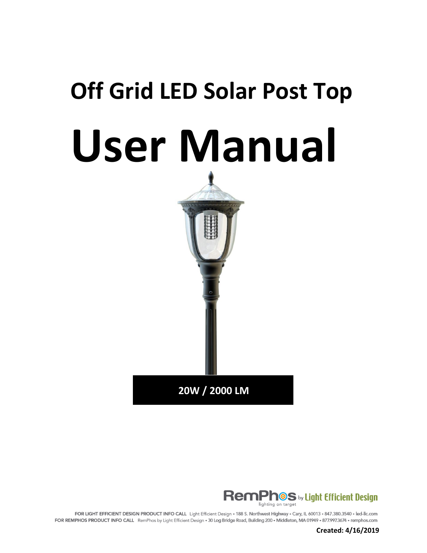# **Off Grid LED Solar Post Top User Manual**





FOR LIGHT EFFICIENT DESIGN PRODUCT INFO CALL Light Efficient Design - 188 S. Northwest Highway - Cary, IL 60013 - 847.380.3540 - led-llc.com FOR REMPHOS PRODUCT INFO CALL RemPhos by Light Efficient Design - 30 Log Bridge Road, Building 200 - Middleton, MA 01949 - 877.997.3674 - remphos.com

**Created: 4/16/2019**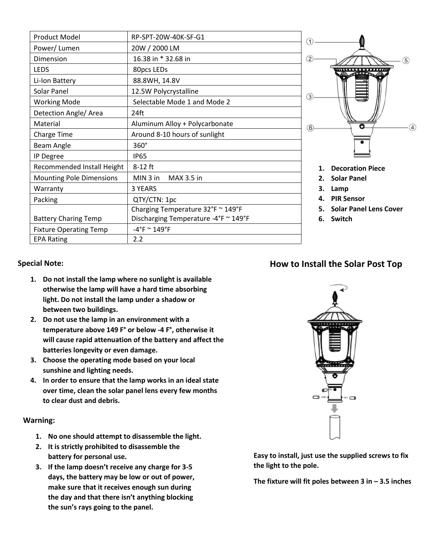| Product Model                   | RP-SPT-20W-40K-SF-G1                 | ➀             |
|---------------------------------|--------------------------------------|---------------|
| Power/Lumen                     | 20W / 2000 LM                        |               |
| Dimension                       | 16.38 in * 32.68 in                  | $\circled{2}$ |
| <b>LEDS</b>                     | 80pcs LEDs                           |               |
| Li-Ion Battery                  | 88.8WH, 14.8V                        |               |
| Solar Panel                     | 12.5W Polycrystalline                |               |
| <b>Working Mode</b>             | Selectable Mode 1 and Mode 2         | $\circled{3}$ |
| Detection Angle/ Area           | 24ft                                 |               |
| Material                        | Aluminum Alloy + Polycarbonate       | $\circled6$   |
| <b>Charge Time</b>              | Around 8-10 hours of sunlight        |               |
| Beam Angle                      | 360°                                 |               |
| IP Degree                       | <b>IP65</b>                          |               |
| Recommended Install Height      | 8-12 ft                              |               |
| <b>Mounting Pole Dimensions</b> | MIN 3 in<br>MAX 3.5 in               |               |
| Warranty                        | 3 YEARS                              |               |
| Packing                         | QTY/CTN: 1pc                         |               |
|                                 | Charging Temperature 32°F ~ 149°F    |               |
| <b>Battery Charing Temp</b>     | Discharging Temperature -4°F ~ 149°F |               |
| <b>Fixture Operating Temp</b>   | $-4$ °F ~ 149°F                      |               |
| <b>EPA Rating</b>               | 2.2                                  |               |



- **1. Decoration Piece**
- **2. Solar Panel**
- **3. Lamp**
- **4. PIR Sensor**
- **5. Solar Panel Lens Cover**
- **6. Switch**

### **Special Note:**

- **1. Do not install the lamp where no sunlight is available otherwise the lamp will have a hard time absorbing light. Do not install the lamp under a shadow or between two buildings.**
- **2. Do not use the lamp in an environment with a temperature above 149 F° or below -4 F°, otherwise it will cause rapid attenuation of the battery and affect the batteries longevity or even damage.**
- **3. Choose the operating mode based on your local sunshine and lighting needs.**
- **4. In order to ensure that the lamp works in an ideal state over time, clean the solar panel lens every few months to clear dust and debris.**

#### **Warning:**

- **1. No one should attempt to disassemble the light.**
- **2. It is strictly prohibited to disassemble the battery for personal use.**
- **3. If the lamp doesn't receive any charge for 3-5 days, the battery may be low or out of power, make sure that it receives enough sun during the day and that there isn't anything blocking the sun's rays going to the panel.**



**Easy to install, just use the supplied screws to fix the light to the pole.**

**The fixture will fit poles between 3 in – 3.5 inches**

## **How to Install the Solar Post Top**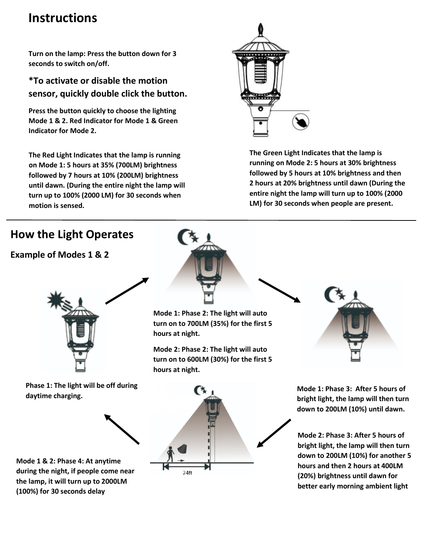# **Instructions**

**Turn on the lamp: Press the button down for 3 seconds to switch on/off.**

**\*To activate or disable the motion sensor, quickly double click the button.**

**Press the button quickly to choose the lighting Mode 1 & 2. Red Indicator for Mode 1 & Green Indicator for Mode 2.**

**The Red Light Indicates that the lamp is running on Mode 1: 5 hours at 35% (700LM) brightness followed by 7 hours at 10% (200LM) brightness until dawn. (During the entire night the lamp will turn up to 100% (2000 LM) for 30 seconds when motion is sensed.**



**The Green Light Indicates that the lamp is running on Mode 2: 5 hours at 30% brightness followed by 5 hours at 10% brightness and then 2 hours at 20% brightness until dawn (During the entire night the lamp will turn up to 100% (2000 LM) for 30 seconds when people are present.**

## **How the Light Operates**

**Example of Modes 1 & 2**



**Phase 1: The light will be off during daytime charging.**



**Mode 1 & 2: Phase 4: At anytime during the night, if people come near the lamp, it will turn up to 2000LM (100%) for 30 seconds delay**



**Mode 1: Phase 2: The light will auto turn on to 700LM (35%) for the first 5 hours at night.**

**Mode 2: Phase 2: The light will auto turn on to 600LM (30%) for the first 5 hours at night.**



**Mode 1: Phase 3: After 5 hours of bright light, the lamp will then turn down to 200LM (10%) until dawn.**

**Mode 2: Phase 3: After 5 hours of bright light, the lamp will then turn down to 200LM (10%) for another 5 hours and then 2 hours at 400LM (20%) brightness until dawn for better early morning ambient light**